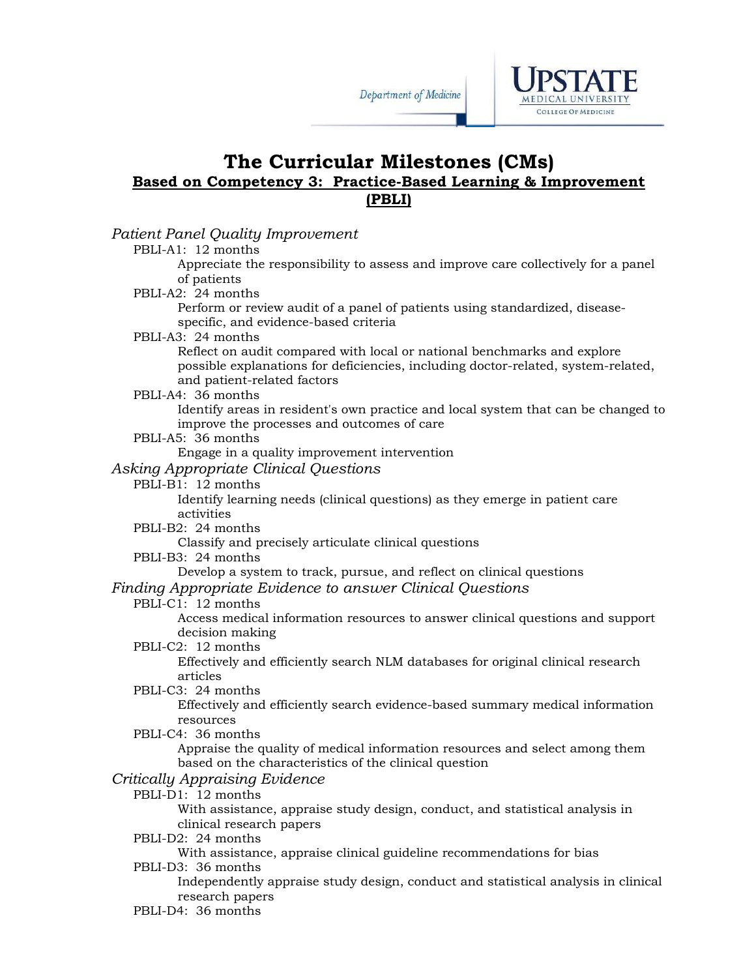

# **The Curricular Milestones (CMs) Based on Competency 3: Practice-Based Learning & Improvement (PBLI)**

### *Patient Panel Quality Improvement*

# PBLI-A1: 12 months

Appreciate the responsibility to assess and improve care collectively for a panel of patients

#### PBLI-A2: 24 months

Perform or review audit of a panel of patients using standardized, diseasespecific, and evidence-based criteria

#### PBLI-A3: 24 months

Reflect on audit compared with local or national benchmarks and explore possible explanations for deficiencies, including doctor-related, system-related, and patient-related factors

#### PBLI-A4: 36 months

Identify areas in resident's own practice and local system that can be changed to improve the processes and outcomes of care

#### PBLI-A5: 36 months

Engage in a quality improvement intervention

## *Asking Appropriate Clinical Questions*

## PBLI-B1: 12 months

Identify learning needs (clinical questions) as they emerge in patient care activities

#### PBLI-B2: 24 months

Classify and precisely articulate clinical questions

PBLI-B3: 24 months

### Develop a system to track, pursue, and reflect on clinical questions

### *Finding Appropriate Evidence to answer Clinical Questions*

### PBLI-C1: 12 months

Access medical information resources to answer clinical questions and support decision making

#### PBLI-C2: 12 months

Effectively and efficiently search NLM databases for original clinical research articles

#### PBLI-C3: 24 months

Effectively and efficiently search evidence-based summary medical information resources

PBLI-C4: 36 months

Appraise the quality of medical information resources and select among them based on the characteristics of the clinical question

## *Critically Appraising Evidence*

## PBLI-D1: 12 months

With assistance, appraise study design, conduct, and statistical analysis in clinical research papers

PBLI-D2: 24 months

With assistance, appraise clinical guideline recommendations for bias

PBLI-D3: 36 months

Independently appraise study design, conduct and statistical analysis in clinical research papers

PBLI-D4: 36 months